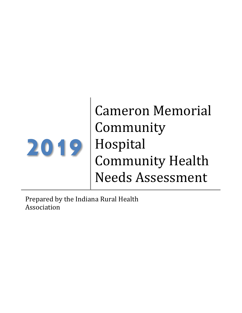

Cameron Memorial Community Hospital Community Health Needs Assessment

Prepared by the Indiana Rural Health Association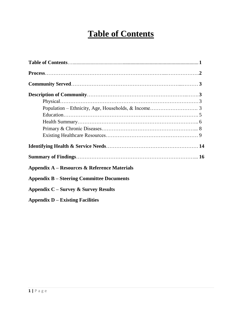# **Table of Contents**

| Appendix A – Resources & Reference Materials     |  |
|--------------------------------------------------|--|
| <b>Appendix B – Steering Committee Documents</b> |  |
| Appendix $C$ – Survey & Survey Results           |  |
| $\Delta$ ppendix D – Existing Facilities         |  |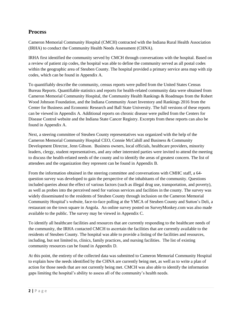# **Process**

Cameron Memorial Community Hospital (CMCH) contracted with the Indiana Rural Health Association (IRHA) to conduct the Community Health Needs Assessment (CHNA).

IRHA first identified the community served by CMCH through conversations with the hospital. Based on a review of patient zip codes, the hospital was able to define the community served as all postal codes within the geographic area of Steuben County. The hospital provided a primary service area map with zip codes, which can be found in Appendix A.

To quantifiably describe the community, census reports were pulled from the United States Census Bureau Reports. Quantifiable statistics and reports for health-related community data were obtained from Cameron Memorial Community Hospital, the Community Health Rankings & Roadmaps from the Robert Wood Johnson Foundation, and the Indiana Community Asset Inventory and Rankings 2016 from the Center for Business and Economic Research and Ball State University. The full versions of these reports can be viewed in Appendix A. Additional reports on chronic disease were pulled from the Centers for Disease Control website and the Indiana State Cancer Registry. Excerpts from these reports can also be found in Appendix A.

Next, a steering committee of Steuben County representatives was organized with the help of the Cameron Memorial Community Hospital CEO, Connie McCahill and Business & Community Development Director, Jenn Gibson. Business owners, local officials, healthcare providers, minority leaders, clergy, student representatives, and any other interested parties were invited to attend the meeting to discuss the health-related needs of the county and to identify the areas of greatest concern. The list of attendees and the organization they represent can be found in Appendix B.

From the information obtained in the steering committee and conversations with CMHC staff, a 64 question survey was developed to gain the perspective of the inhabitants of the community. Questions included queries about the effect of various factors (such as illegal drug use, transportation, and poverty), as well as probes into the perceived need for various services and facilities in the county. The survey was widely disseminated to the residents of Steuben County through inclusion on the Cameron Memorial Community Hospital's website, face-to-face polling at the YMCA of Steuben County and Sutton's Deli, a restaurant on the town square in Angola. An online survey posted on SurveyMonkey.com was also made available to the public. The survey may be viewed in Appendix C.

To identify all healthcare facilities and resources that are currently responding to the healthcare needs of the community, the IRHA contacted CMCH to ascertain the facilities that are currently available to the residents of Steuben County. The hospital was able to provide a listing of the facilities and resources, including, but not limited to, clinics, family practices, and nursing facilities. The list of existing community resources can be found in Appendix D.

At this point, the entirety of the collected data was submitted to Cameron Memorial Community Hospital to explain how the needs identified by the CHNA are currently being met, as well as to write a plan of action for those needs that are not currently being met. CMCH was also able to identify the information gaps limiting the hospital's ability to assess all of the community's health needs.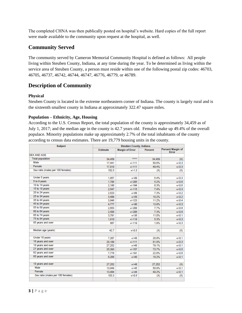The completed CHNA was then publically posted on hospital's website. Hard copies of the full report were made available to the community upon request at the hospital, as well.

# **Community Served**

The community served by Cameron Memorial Community Hospital is defined as follows: All people living within Steuben County, Indiana, at any time during the year. To be determined as living within the service area of Steuben County, a person must reside within one of the following postal zip codes: 46703, 46705, 46737, 46742, 46744, 46747, 46776, 46779, or 46789.

# **Description of Community**

# **Physical**

Steuben County is located in the extreme northeastern corner of Indiana. The county is largely rural and is the sixteenth smallest county in Indiana at approximately 322.47 square miles.

## **Population – Ethnicity, Age, Housing**

According to the U.S. Census Report, the total population of the county is approximately 34,459 as of July 1, 2017; and the median age in the county is 42.7 years old. Females make up 49.4% of the overall populace. Minority populations make up approximately 2.7% of the total inhabitants of the county according to census data estimates. There are 19,779 housing units in the county.

| <b>Subject</b>                    |                 | <b>Steuben County, Indiana</b> |         |                            |  |  |
|-----------------------------------|-----------------|--------------------------------|---------|----------------------------|--|--|
|                                   | <b>Estimate</b> | <b>Margin of Error</b>         | Percent | Percent Margin of<br>Error |  |  |
| <b>SEX AND AGE</b>                |                 |                                |         |                            |  |  |
| <b>Total population</b>           | 34.459          | *****                          | 34.459  | (X)                        |  |  |
| Male                              | 17,441          | $+4 - 111$                     | 50.6%   | $+1 - 0.3$                 |  |  |
| Female                            | 17,018          | $+1 - 111$                     | 49.4%   | $+1 - 0.3$                 |  |  |
| Sex ratio (males per 100 females) | 102.5           | $+1.13$                        | (X)     | (X)                        |  |  |
| Under 5 years                     | 1.857           | $+1 - 99$                      | 5.4%    | $+1 - 0.3$                 |  |  |
| 5 to 9 years                      | 1.795           | $+1 - 205$                     | 5.2%    | $+1 - 0.6$                 |  |  |
| 10 to 14 years                    | 2.186           | $+1 - 194$                     | 6.3%    | $+1 - 0.6$                 |  |  |
| 15 to 19 years                    | 2.547           | $+1.115$                       | 7.4%    | $+1 - 0.3$                 |  |  |
| 20 to 24 years                    | 2.523           | $+1 - 68$                      | 7.3%    | $+1 - 0.2$                 |  |  |
| 25 to 34 years                    | 3,499           | $+1 - 58$                      | 10.2%   | $+1 - 0.2$                 |  |  |
| 35 to 44 years                    | 3,846           | $+1 - 123$                     | 11.2%   | $+1 - 0.4$                 |  |  |
| 45 to 54 years                    | 4.777           | $+1 - 90$                      | 13.9%   | $+1 - 0.3$                 |  |  |
| 55 to 59 years                    | 2,653           | $+1 - 208$                     | 7.7%    | $+1 - 0.6$                 |  |  |
| 60 to 64 years                    | 2,508           | $+1 - 206$                     | 7.3%    | $+1 - 0.6$                 |  |  |
| 65 to 74 years                    | 3,791           | $+1 - 36$                      | 11.0%   | $+1 - 0.1$                 |  |  |
| 75 to 84 years                    | 1,810           | $+/-118$                       | 5.3%    | $+1 - 0.3$                 |  |  |
| 85 years and over                 | 667             | $+/-119$                       | 1.9%    | $+1 - 0.3$                 |  |  |
| Median age (years)                | 42.7            | $+1 - 0.5$                     | (X)     | (X)                        |  |  |
| Under 18 years                    | 7.207           | $+1-48$                        | 20.9%   | $+1 - 0.1$                 |  |  |
| 16 years and over                 | 28.189          | $+/-111$                       | 81.8%   | $+1 - 0.3$                 |  |  |
| 18 years and over                 | 27.252          | $+1 - 48$                      | 79.1%   | $+1 - 0.1$                 |  |  |
| 21 years and over                 | 25,393          | $+1 - 157$                     | 73.7%   | $+1 - 0.5$                 |  |  |
| 62 years and over                 | 7,776           | $+1 - 191$                     | 22.6%   | $+1 - 0.6$                 |  |  |
| 65 years and over                 | 6,268           | $+1-40$                        | 18.2%   | $+1 - 0.1$                 |  |  |
| 18 years and over                 | 27.252          | $+1-48$                        | 27.252  | (X)                        |  |  |
| Male                              | 13,848          | $+1-45$                        | 50.8%   | $+1 - 0.1$                 |  |  |
| Female                            | 13,404          | $+1 - 44$                      | 49.2%   | $+1 - 0.1$                 |  |  |
| Sex ratio (males per 100 females) | 103.3           | $+1 - 0.6$                     | (X)     | (X)                        |  |  |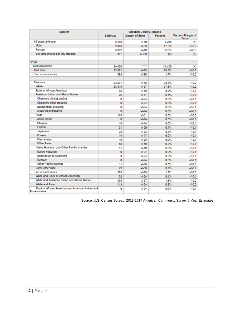| <b>Subject</b>                                                     | <b>Steuben County, Indiana</b> |                        |         |                                          |  |  |
|--------------------------------------------------------------------|--------------------------------|------------------------|---------|------------------------------------------|--|--|
|                                                                    | <b>Estimate</b>                | <b>Margin of Error</b> | Percent | <b>Percent Margin of</b><br><b>Error</b> |  |  |
| 65 years and over                                                  | 6.268                          | $+140$                 | 6.268   | (X)                                      |  |  |
| Male                                                               | 2.946                          | $+1 - 33$              | 47.0%   | $+1 - 0.3$                               |  |  |
| Female                                                             | 3.322                          | $+/-16$                | 53.0%   | $+1 - 0.3$                               |  |  |
| Sex ratio (males per 100 females)                                  | 88.7                           | $+1 - 0.9$             | (X)     | (X)                                      |  |  |
| <b>RACE</b>                                                        |                                |                        |         |                                          |  |  |
| <b>Total population</b>                                            | 34.459                         | *****                  | 34.459  | (X)                                      |  |  |
| One race                                                           | 33.871                         | $+1 - 85$              | 98.3%   | $+1 - 0.2$                               |  |  |
| Two or more races                                                  | 588                            | $+1 - 85$              | 1.7%    | $+1 - 0.2$                               |  |  |
| One race                                                           | 33,871                         | $+1 - 85$              | 98.3%   | $+1 - 0.2$                               |  |  |
| White                                                              | 33.515                         | $+1 - 67$              | 97.3%   | $+1 - 0.2$                               |  |  |
| <b>Black or African American</b>                                   | 82                             | $+148$                 | 0.2%    | $+1 - 0.1$                               |  |  |
| American Indian and Alaska Native                                  | 25                             | $+1 - 17$              | 0.1%    | $+1 - 0.1$                               |  |  |
| Cherokee tribal grouping                                           | 0                              | $+1 - 24$              | 0.0%    | $+1 - 0.1$                               |  |  |
| Chippewa tribal grouping                                           | $\overline{0}$                 | $+1 - 24$              | 0.0%    | $+1 - 0.1$                               |  |  |
| Navajo tribal grouping                                             | 0                              | $+1 - 24$              | 0.0%    | $+1 - 0.1$                               |  |  |
| Sioux tribal grouping                                              | 0                              | $+1 - 24$              | 0.0%    | $+1 - 0.1$                               |  |  |
| Asian                                                              | 165                            | $+1 - 61$              | 0.5%    | $+1 - 0.2$                               |  |  |
| Asian Indian                                                       | o                              | $+1 - 24$              | 0.0%    | $+1 - 0.1$                               |  |  |
| Chinese                                                            | 16                             | $+1 - 14$              | 0.0%    | $+1 - 0.1$                               |  |  |
| Filipino                                                           | 31                             | $+1 - 20$              | 0.1%    | $+1 - 0.1$                               |  |  |
| Japanese                                                           | 23                             | $+1-33$                | 0.1%    | $+1 - 0.1$                               |  |  |
| Korean                                                             | 14                             | $+1 - 17$              | 0.0%    | $+1 - 0.1$                               |  |  |
| Vietnamese                                                         | 16                             | $+1 - 26$              | 0.0%    | $+1 - 0.1$                               |  |  |
| <b>Other Asian</b>                                                 | 65                             | $+1.49$                | 0.2%    | $+1 - 0.1$                               |  |  |
| Native Hawaiian and Other Pacific Islander                         | 11                             | $+1 - 19$              | 0.0%    | $+1 - 0.1$                               |  |  |
| <b>Native Hawaiian</b>                                             | O                              | $+1 - 24$              | 0.0%    | $+1 - 0.1$                               |  |  |
| Guamanian or Chamorro                                              | 0                              | $+1 - 24$              | 0.0%    | $+1 - 0.1$                               |  |  |
| Samoan                                                             | $\Omega$                       | $+1 - 24$              | 0.0%    | $+1 - 0.1$                               |  |  |
| Other Pacific Islander                                             | 11                             | $+1 - 19$              | 0.0%    | $+1 - 0.1$                               |  |  |
| Some other race                                                    | 73                             | $+1 - 58$              | 0.2%    | $+1 - 0.2$                               |  |  |
| Two or more races                                                  | 588                            | $+1 - 85$              | 1.7%    | $+1 - 0.2$                               |  |  |
| White and Black or African American                                | 32                             | $+1-24$                | 0.1%    | $+1 - 0.1$                               |  |  |
| White and American Indian and Alaska Native                        | 435                            | $+1 - 57$              | 1.3%    | $+1 - 0.2$                               |  |  |
| <b>White and Asian</b>                                             | 113                            | $+1 - 64$              | 0.3%    | $+1 - 0.2$                               |  |  |
| Black or African American and American Indian and<br>Alaska Native | 0                              | $+1 - 24$              | 0.0%    | $+1 - 0.1$                               |  |  |

Source: U.S. Census Bureau, 2013-2017 American Community Survey 5-Year Estimates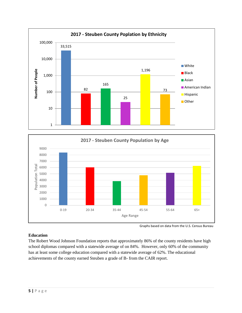



#### Graphs based on data from the U.S. Census Bureau

# **Education**

The Robert Wood Johnson Foundation reports that approximately 86% of the county residents have high school diplomas compared with a statewide average of on 84%. However, only 60% of the community has at least some college education compared with a statewide average of 62%. The educational achievements of the county earned Steuben a grade of B- from the CAIR report.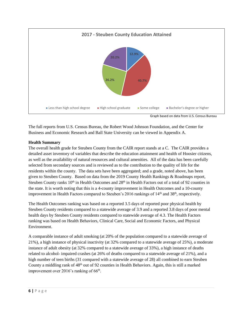

Graph based on data from U.S. Census Bureau

The full reports from U.S. Census Bureau, the Robert Wood Johnson Foundation, and the Center for Business and Economic Research and Ball State University can be viewed in Appendix A.

# **Health Summary**

The overall health grade for Steuben County from the CAIR report stands at a C. The CAIR provides a detailed asset inventory of variables that describe the education attainment and health of Hoosier citizens, as well as the availability of natural resources and cultural amenities. All of the data has been carefully selected from secondary sources and is reviewed as to the contribution to the quality of life for the residents within the county. The data sets have been aggregated; and a grade, noted above, has been given to Steuben County. Based on data from the 2019 County Health Rankings & Roadmaps report, Steuben County ranks 10<sup>th</sup> in Health Outcomes and 28<sup>th</sup> in Health Factors out of a total of 92 counties in the state. It is worth noting that this is a 4-county improvement in Health Outcomes and a 10-county improvement in Health Factors compared to Steuben's 2016 rankings of 14<sup>th</sup> and 38<sup>th</sup>, respectively.

The Health Outcomes ranking was based on a reported 3.5 days of reported poor physical health by Steuben County residents compared to a statewide average of 3.9 and a reported 3.8 days of poor mental health days by Steuben County residents compared to statewide average of 4.3. The Health Factors ranking was based on Health Behaviors, Clinical Care, Social and Economic Factors, and Physical Environment.

A comparable instance of adult smoking (at 20% of the population compared to a statewide average of 21%), a high instance of physical inactivity (at 32% compared to a statewide average of 25%), a moderate instance of adult obesity (at 32% compared to a statewide average of 33%), a high instance of deaths related to alcohol- impaired crashes (at 26% of deaths compared to a statewide average of 21%), and a high number of teen births (31 compared with a statewide average of 28) all combined to earn Steuben County a middling rank of 48<sup>th</sup> out of 92 counties in Health Behaviors. Again, this is still a marked improvement over 2016's ranking of 66<sup>th</sup>.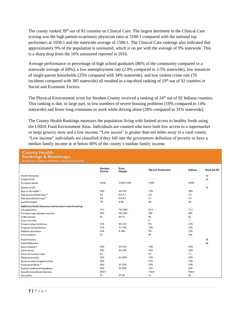The county ranked 39<sup>th</sup> out of 92 counties on Clinical Care. The largest detriment to the Clinical Care scoring was the high patient-to-primary physician ratio at 3100:1 compared with the national top performers at 1050:1 and the statewide average of 1500:1. The Clinical Care rankings also indicated that approximately 9% of the population is uninsured, which is on par with the average of 9% statewide. This is a sharp drop from the 16% uninsured reported in 2016.

Average performance in percentage of high school graduates (86% of the community compared to a statewide average of 84%), a low unemployment rate (2.9% compared to 3.5% statewide), low instances of single-parent households (25% compared with 34% statewide), and low violent crime rate (70 incidents compared with 385 statewide) all resulted in a top-third ranking of 19<sup>th</sup> out of 92 counties in Social and Economic Factors.

The Physical Environment score for Steuben County received a ranking of 24<sup>th</sup> out of 92 Indiana counties. This ranking is due, in large part, to low numbers of severe housing problems (10% compared to 14% statewide) and fewer long commutes to work while driving alone (28% compared to 31% statewide).

The County Health Rankings measures the population living with limited access to healthy foods using the USDA Food Environment Atlas. Individuals are counted who have both low access to a supermarket or large grocery store and a low income. "Low access" is greater than ten miles away in a rural county. "Low income" individuals are classified if they fall into the government definition of poverty or have a median family income at or below 80% of the county's median family income.

| <b>County Health</b><br><b>Rankings &amp; Roadmaps</b><br><b>Building a Culture of Health, County by County</b> |                   |                 |                     |         |              |
|-----------------------------------------------------------------------------------------------------------------|-------------------|-----------------|---------------------|---------|--------------|
|                                                                                                                 | Steuben<br>County | Error<br>Margin | Top U.S. Performers | Indiana | Rank (of 92) |
| <b>Health Outcomes</b>                                                                                          |                   |                 |                     |         | 10           |
| Length of Life                                                                                                  |                   |                 |                     |         | 14           |
| Premature death                                                                                                 | 6,500             | 5,500-7,500     | 5,400               | 8,200   |              |
| Quality of Life                                                                                                 |                   |                 |                     |         | 12           |
| Poor or fair health **                                                                                          | 14%               | 14-15%          | 12%                 | 18%     |              |
| Poor physical health days **                                                                                    | 3.5               | $3.3 - 3.7$     | 3.0                 | 3.9     |              |
| Poor mental health days **                                                                                      | 3.8               | $3.6 - 4.1$     | 3.1                 | 4.3     |              |
| Low birthweight                                                                                                 | 7%                | 6-8%            | 6%                  | 8%      |              |
| Additional Health Outcomes (not included in overall ranking)                                                    |                   |                 |                     |         |              |
| Life expectancy                                                                                                 | 79.1              | 78.2-80.1       | 81.0                | 77.1    |              |
| Premature age-adjusted mortality                                                                                | 340               | 310-380         | 280                 | 400     |              |
| Child mortality                                                                                                 | 40                | 20-70           | 40                  | 60      |              |
| Infant mortality                                                                                                |                   |                 | 4                   | 7       |              |
| Frequent physical distress                                                                                      | 10%               | 10-11%          | 9%                  | 12%     |              |
| Frequent mental distress                                                                                        | 12%               | 11-12%          | 10%                 | 13%     |              |
| Diabetes prevalence                                                                                             | 10%               | $8 - 14%$       | 9%                  | 12%     |              |
| HIV prevalence                                                                                                  | 61                |                 | 49                  | 196     |              |
| <b>Health Factors</b>                                                                                           |                   |                 |                     |         | 28           |
| <b>Health Behaviors</b>                                                                                         |                   |                 |                     |         | 48           |
| Adult smoking**                                                                                                 | 20%               | 19-21%          | 14%                 | 21%     |              |
| Adult obesity                                                                                                   | 32%               | 26-39%          | 26%                 | 33%     |              |
| Food environment index                                                                                          | 8.1               |                 | 8.7                 | 7.1     |              |
| Physical inactivity                                                                                             | 32%               | 26-38%          | 19%                 | 25%     |              |
| Access to exercise opportunities                                                                                | 60%               |                 | 91%                 | 75%     |              |
| Excessive drinking **                                                                                           | 18%               | 17-19%          | 13%                 | 19%     |              |
| Alcohol-impaired driving deaths                                                                                 | 26%               | 16-36%          | 13%                 | 21%     |              |
| Sexually transmitted infections                                                                                 | 200.7             |                 | 152.8               | 466.0   |              |
| Teen births                                                                                                     | 31                | $27 - 35$       | 14                  | 28      |              |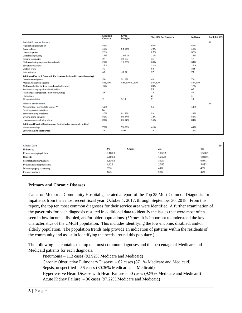|                                                                        | Steuben<br>County | Error<br>Margin | Top U.S. Performers | Indiana  | Rank (of 92) |
|------------------------------------------------------------------------|-------------------|-----------------|---------------------|----------|--------------|
| Social & Economic Factors                                              |                   |                 |                     |          | 19           |
| High school graduation                                                 | 86%               |                 | 96%                 | 84%      |              |
| Some college                                                           | 60%               | 54-66%          | 73%                 | 62%      |              |
| Unemployment                                                           | 2.9%              |                 | 2.9%                | 3.5%     |              |
| Children in poverty                                                    | 17%               | 12-21%          | 11%                 | 18%      |              |
| Income inequality                                                      | 3.4               | $3.1 - 3.7$     | 3.7                 | 4.4      |              |
| Children in single-parent households                                   | 25%               | 19-31%          | 20%                 | 34%      |              |
| Social associations                                                    | 15.2              |                 | 21.9                | 12.3     |              |
| Violent crime                                                          | 70                |                 | 63                  | 385      |              |
| Injury deaths                                                          | 60                | 48-72           | 57                  | 74       |              |
| Additional Social & Economic Factors (not included in overall ranking) |                   |                 |                     |          |              |
| Disconnected youth                                                     | 9%                | $3 - 16%$       | 4%                  | 7%       |              |
| Median household income                                                | \$55,200          | \$49,600-60,800 | \$67,100            | \$54,100 |              |
| Children eligible for free or reduced price lunch                      | 43%               |                 | 32%                 | 47%      |              |
| Residential segregation - black/white                                  |                   |                 | 23                  | 68       |              |
| Residential segregation - non-white/white                              | 29                |                 | 15                  | 55       |              |
| Homicides                                                              |                   |                 | 2                   | 6        |              |
| Firearm fatalities                                                     | 9                 | $5 - 14$        | 7                   | 14       |              |
| <b>Physical Environment</b>                                            |                   |                 |                     |          | 24           |
| Air pollution - particulate matter **                                  | 12.0              |                 | 6.1                 | 11.8     |              |
| Drinking water violations                                              | No                |                 |                     |          |              |
| Severe housing problems                                                | 10%               | $8 - 12%$       | 9%                  | 14%      |              |
| Driving alone to work                                                  | 82%               | 80-84%          | 72%                 | 83%      |              |
| Long commute - driving alone                                           | 28%               | 25-32%          | 15%                 | 31%      |              |
| Additional Physical Environment (not included in overall ranking)      |                   |                 |                     |          |              |
| Homeownership                                                          | 78%               | 76-80%          | 61%                 | 69%      |              |
| Severe housing cost burden                                             | 7%                | $5 - 9%$        | 7%                  | 12%      |              |
|                                                                        |                   |                 |                     |          |              |
| <b>Clinical Care</b>                                                   |                   |                 |                     |          | 39           |
| Uninsured                                                              | 9%                | 8-10%           | 6%                  | 9%       |              |
| Primary care physicians                                                | 3,100:1           |                 | 1.050:1             | 1.500:1  |              |
| Dentists                                                               | 2,650:1           |                 | 1.260:1             | 1,810:1  |              |
| Mental health providers                                                | 1,330:1           |                 | 310:1               | 670:1    |              |
| Preventable hospital stays                                             | 4,422             |                 | 2.765               | 5,023    |              |
| Mammography screening                                                  | 39%               |                 | 49%                 | 40%      |              |
| Flu vaccinations                                                       | 46%               |                 | 52%                 | 47%      |              |

# **Primary and Chronic Diseases**

Cameron Memorial Community Hospital generated a report of the Top 25 Most Common Diagnosis for Inpatients from their most recent fiscal year, October 1, 2017, through September 30, 2018. From this report, the top ten most common diagnoses for their service area were identified. A further examination of the payer mix for each diagnosis resulted in additional data to identify the issues that were most often seen in low-income, disabled, and/or older populations. (\*Note: It is important to understand the key characteristics of the CMCH population. This includes identifying the low-income, disabled, and/or elderly population. The population trends help provide an indication of patterns within the residents of the community and assist in identifying the needs around this populace.)

The following list contains the top ten most common diagnoses and the percentage of Medicare and Medicaid patients for each diagnosis:

Pneumonia – 113 cases (92.92% Medicare and Medicaid) Chronic Obstructive Pulmonary Disease  $-62$  cases (87.1% Medicare and Medicaid) Sepsis, unspecified – 56 cases (80.36% Medicare and Medicaid) Hypertensive Heart Disease with Heart Failure – 50 cases (92%% Medicare and Medicaid) Acute Kidney Failure – 36 cases (97.22% Medicare and Medicaid)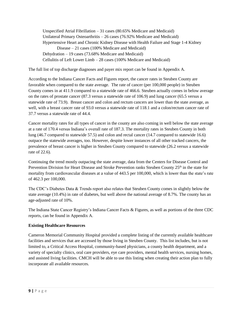Unspecified Atrial Fibrillation – 31 cases (80.65% Medicare and Medicaid) Unilateral Primary Osteoarthritis – 26 cases (76.92% Medicare and Medicaid) Hypertensive Heart and Chronic Kidney Disease with Health Failure and Stage 1-4 Kidney Disease – 21 cases (100% Medicare and Medicaid) Dehydration – 19 cases (73.68% Medicare and Medicaid) Cellulitis of Left Lower Limb – 28 cases (100% Medicare and Medicaid)

The full list of top discharge diagnoses and payer mix report can be found in Appendix A.

According to the Indiana Cancer Facts and Figures report, the cancer rates in Steuben County are favorable when compared to the state average. The rate of cancer (per 100,000 people) in Steuben County comes in at 411.9 compared to a statewide rate of 466.6. Steuben actually comes in below average on the rates of prostate cancer (87.3 versus a statewide rate of 106.9) and lung cancer (65.5 versus a statewide rate of 73.9). Breast cancer and colon and rectum cancers are lower than the state average, as well, with a breast cancer rate of 93.0 versus a statewide rate of 118.1 and a colon/rectum cancer rate of 37.7 versus a statewide rate of 44.4.

Cancer mortality rates for all types of cancer in the county are also coming in well below the state average at a rate of 170.4 versus Indiana's overall rate of 187.3. The mortality rates in Steuben County in both lung (46.7 compared to statewide 57.5) and colon and rectal cancer (14.7 compared to statewide 16.6) outpace the statewide averages, too. However, despite lower instances of all other tracked cancers, the prevalence of breast cancer is higher in Steuben County compared to statewide (26.2 versus a statewide rate of 22.6).

Continuing the trend mostly outpacing the state average, data from the Centers for Disease Control and Prevention Division for Heart Disease and Stroke Prevention ranks Steuben County 25<sup>th</sup> in the state for mortality from cardiovascular diseases at a value of 443.5 per 100,000, which is lower than the state's rate of 462.3 per 100,000.

The CDC's Diabetes Data & Trends report also relates that Steuben County comes in slightly below the state average (10.4%) in rate of diabetes, but well above the national average of 8.7%. The county has an age-adjusted rate of 10%.

The Indiana State Cancer Registry's Indiana Cancer Facts & Figures, as well as portions of the three CDC reports, can be found in Appendix A.

# **Existing Healthcare Resources**

Cameron Memorial Community Hospital provided a complete listing of the currently available healthcare facilities and services that are accessed by those living in Steuben County. This list includes, but is not limited to, a Critical Access Hospital, community-based physicians, a county health department, and a variety of specialty clinics, oral care providers, eye care providers, mental health services, nursing homes, and assisted living facilities. CMCH will be able to use this listing when creating their action plan to fully incorporate all available resources.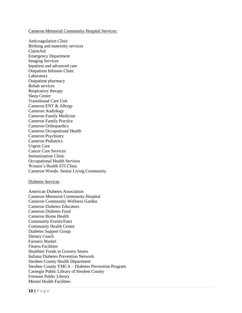#### Cameron Memorial Community Hospital Services:

Anticoagulation Clinic Birthing and maternity services ClaimAid Emergency Department Imaging Services Inpatient and advanced care Outpatient Infusion Clinic Laboratory Outpatient pharmacy Rehab services Respiratory therapy Sleep Center Transitional Care Unit Cameron ENT & Allergy Cameron Audiology Cameron Family Medicine Cameron Family Practice Cameron Orthopaedics Cameron Occupational Health Cameron Psychiatry Cameron Pediatrics Urgent Care Cancer Care Services Immunization Clinic Occupational Health Services Women's Health STI Clinic Cameron Woods- Senior Living Community

#### Diabetes Services

American Diabetes Association Cameron Memorial Community Hospital Cameron Community Wellness Garden Cameron Diabetes Educators Cameron Diabetes Fund Cameron Home Health Community Events/Fairs Community Health Center Diabetes Support Group Dietary Coach Farmers Market Fitness Facilities Healthier Foods in Grocery Stores Indiana Diabetes Prevention Network Steuben County Health Department Steuben County YMCA – Diabetes Prevention Program Carnegie Public Library of Steuben County Fremont Public Library Mental Health Facilities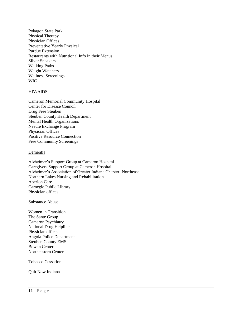Pokagon State Park Physical Therapy Physician Offices Preventative Yearly Physical Purdue Extension Restaurants with Nutritional Info in their Menus Silver Sneakers Walking Paths Weight Watchers Wellness Screenings WIC

#### HIV/AIDS

Cameron Memorial Community Hospital Center for Disease Council Drug Free Steuben Steuben County Health Department Mental Health Organizations Needle Exchange Program Physician Offices Positive Resource Connection Free Community Screenings

#### **Dementia**

Alzheimer's Support Group at Cameron Hospital. Caregivers Support Group at Cameron Hospital. Alzheimer's Association of Greater Indiana Chapter- Northeast Northern Lakes Nursing and Rehabilitation Aperion Care Carnegie Public Library Physician offices

Substance Abuse

Women in Transition The Sante Group Cameron Psychiatry National Drug Helpline Physician offices Angola Police Department Steuben County EMS Bowen Center Northeastern Center

Tobacco Cessation

Quit Now Indiana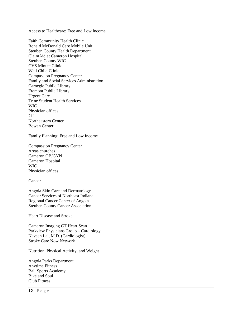#### Access to Healthcare: Free and Low Income

Faith Community Health Clinic Ronald McDonald Care Mobile Unit Steuben County Health Department ClaimAid at Cameron Hospital Steuben County WIC CVS Minute Clinic Well Child Clinic Compassion Pregnancy Center Family and Social Services Administration Carnegie Public Library Fremont Public Library Urgent Care Trine Student Health Services WIC Physician offices 211 Northeastern Center Bowen Center

#### Family Planning: Free and Low Income

Compassion Pregnancy Center Areas churches Cameron OB/GYN Cameron Hospital WIC Physician offices

#### **Cancer**

Angola Skin Care and Dermatology Cancer Services of Northeast Indiana Regional Cancer Center of Angola Steuben County Cancer Association

#### Heart Disease and Stroke

Cameron Imaging CT Heart Scan Parkview Physicians Group – Cardiology Naveen Lal, M.D. (Cardiologist) Stroke Care Now Network

#### Nutrition, Physical Activity, and Weight

Angola Parks Department Anytime Fitness Ball Sports Academy Bike and Soul Club Fitness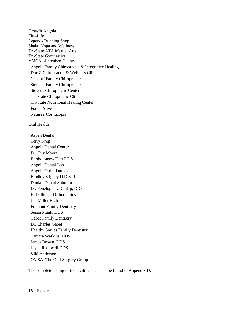Crossfit Angola Fitt4Life Legends Running Shop Shakti Yoga and Wellness Tri-State ATA Martial Arts Tri-State Gymnastics YMCA of Steuben County Angola Family Chiropractic & Integrative Healing Doc Z Chiropractic & Wellness Clinic Gasdorf Family Chiropractic Steuben Family Chiropractic Stevens Chiropractic Center Tri-State Chiropractic Clinic Tri-State Nutritional Healing Center Foods Alive Nature's Cornucopia

#### Oral Health

Aspen Dental Terry Kreg Angola Dental Center Dr. Guy Moore Bartholomew Hott DDS Angola Dental Lab Angola Orthodontists Bradley S Igney D.D.S., P.C. Dunlap Dental Solutions Dr. Penelope L. Dunlap, DDS El Dellinger Orthodontics Jon Miller Richard Fremont Family Dentistry Susan Mauk, DDS Gabet Family Dentistry Dr. Charles Gabet Healthy Smiles Family Dentistry Tamara Watkins, DDS James Brown, DDS Joyce Rockwell DDS Viki Anderson OMSA: The Oral Surgery Group

The complete listing of the facilities can also be found in Appendix D.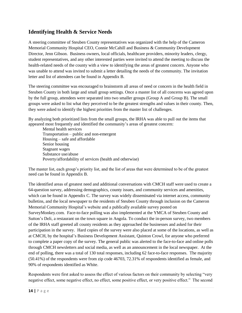# **Identifying Health & Service Needs**

A steering committee of Steuben County representatives was organized with the help of the Cameron Memorial Community Hospital CEO, Connie McCahill and Business & Community Development Director, Jenn Gibson. Business owners, local officials, healthcare providers, minority leaders, clergy, student representatives, and any other interested parties were invited to attend the meeting to discuss the health-related needs of the county with a view to identifying the areas of greatest concern. Anyone who was unable to attend was invited to submit a letter detailing the needs of the community. The invitation letter and list of attendees can be found in Appendix B.

The steering committee was encouraged to brainstorm all areas of need or concern in the health field in Steuben County in both large and small group settings. Once a master list of all concerns was agreed upon by the full group, attendees were separated into two smaller groups (Group A and Group B). The small groups were asked to list what they perceived to be the greatest strengths and values in their county. Then, they were asked to identify the highest priorities from the master list of challenges.

By analyzing both prioritized lists from the small groups, the IRHA was able to pull out the items that appeared most frequently and identified the community's areas of greatest concern:

Mental health services Transportation – public and non-emergent Housing – safe and affordable Senior housing Stagnant wages Substance use/abuse Poverty/affordability of services (health and otherwise)

The master list, each group's priority list, and the list of areas that were determined to be of the greatest need can be found in Appendix B.

The identified areas of greatest need and additional conversations with CMCH staff were used to create a 64-question survey, addressing demographics, county issues, and community services and amenities, which can be found in Appendix C. The survey was widely disseminated via internet access, community bulletins, and the local newspaper to the residents of Steuben County through inclusion on the Cameron Memorial Community Hospital's website and a publically available survey posted on SurveyMonkey.com. Face-to-face polling was also implemented at the YMCA of Steuben County and Sutton's Deli, a restaurant on the town square in Angola. To conduct the in-person survey, two members of the IRHA staff greeted all county residents as they approached the businesses and asked for their participation in the survey. Hard copies of the survey were also placed at some of the locations, as well as at CMCH, by the hospital's Business Development Assistant, Quinton Crowl, for anyone who preferred to complete a paper copy of the survey. The general public was alerted to the face-to-face and online polls through CMCH newsletters and social media, as well as an announcement in the local newspaper. At the end of polling, there was a total of 130 total responses, including 62 face-to-face responses. The majority (50.41%) of the respondents were from zip code 46703, 72.31% of respondents identified as female, and 90% of respondents identified as White.

Respondents were first asked to assess the effect of various factors on their community by selecting "very negative effect, some negative effect, no effect, some positive effect, or very positive effect." The second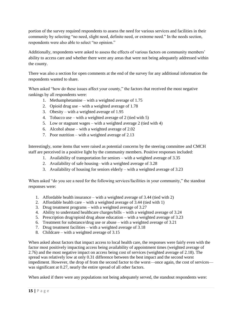portion of the survey required respondents to assess the need for various services and facilities in their community by selecting "no need, slight need, definite need, or extreme need." In the needs section, respondents were also able to select "no opinion."

Additionally, respondents were asked to assess the effects of various factors on community members' ability to access care and whether there were any areas that were not being adequately addressed within the county.

There was also a section for open comments at the end of the survey for any additional information the respondents wanted to share.

When asked "how do these issues affect your county," the factors that received the most negative rankings by all respondents were:

- 1. Methamphetamine with a weighted average of 1.75
- 2. Opioid drug use with a weighted average of 1.78
- 3. Obesity with a weighted average of 1.95
- 4. Tobacco use with a weighted average of 2 (tied with 5)
- 5. Low or stagnant wages with a weighted average 2 (tied with 4)
- 6. Alcohol abuse with a weighted average of 2.02
- 7. Poor nutrition with a weighted average of 2.13

Interestingly, some items that were raised as potential concerns by the steering committee and CMCH staff are perceived in a positive light by the community members. Positive responses included:

- 1. Availability of transportation for seniors with a weighted average of 3.35
- 2. Availability of safe housing– with a weighted average of 3.28
- 3. Availability of housing for seniors elderly with a weighted average of 3.23

When asked "do you see a need for the following services/facilities in your community," the standout responses were:

- 1. Affordable health insurance with a weighted average of 3.44 (tied with 2)
- 2. Affordable health care with a weighted average of 3.44 (tied with 1)
- 3. Drug treatment programs with a weighted average of 3.27
- 4. Ability to understand healthcare charges/bills with a weighted average of 3.24
- 5. Prescription drug/opioid drug abuse education with a weighted average of 3.23
- 6. Treatment for substance/drug use or abuse with a weighted average of 3.21
- 7. Drug treatment facilities with a weighted average of 3.18
- 8. Childcare with a weighted average of 3.15

When asked about factors that impact access to local health care, the responses were fairly even with the factor most positively impacting access being availability of appointment times (weighted average of 2.76) and the most negative impact on access being cost of services (weighted average of 2.18). The spread was relatively low at only 0.31 difference between the best impact and the second worst impediment. However, the drop of from the second factor to the worst—once again, the cost of services was significant at 0.27, nearly the entire spread of all other factors.

When asked if there were any populations not being adequately served, the standout respondents were: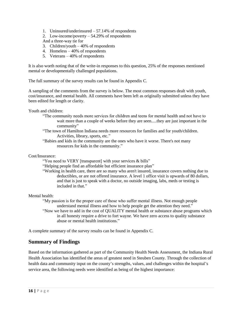- 1. Uninsured/underinsured 57.14% of respondents
- 2. Low-income/poverty 54.29% of respondents And a three-way tie for
- 3. Children/youth 40% of respondents
- 4. Homeless 40% of respondents
- 5. Veterans 40% of respondents

It is also worth noting that of the write-in responses to this question, 25% of the responses mentioned mental or developmentally challenged populations.

The full summary of the survey results can be found in Appendix C.

A sampling of the comments from the survey is below. The most common responses dealt with youth, cost/insurance, and mental health. All comments have been left as originally submitted unless they have been edited for length or clarity.

Youth and children:

- "The community needs more services for children and teens for mental health and not have to wait more than a couple of weeks before they are seen.....they are just important in the community"
- "The town of Hamilton Indiana needs more resources for families and for youth/children. Activities, library, sports, etc."
- "Babies and kids in the community are the ones who have it worse. There's not many resources for kids in the community."

Cost/Insurance:

- "You need to VERY [transparent] with your services & bills"
- "Helping people find an affordable but efficient insurance plan"
- "Working in health care, there are so many who aren't insured, insurance covers nothing due to deductibles, or are not offered insurance. A level 1 office visit is upwards of 80 dollars, and that is just to speak with a doctor, no outside imaging, labs, meds or testing is included in that."

Mental health:

"My passion is for the proper care of those who suffer mental illness. Not enough people understand mental illness and how to help people get the attention they need." "Now we have to add in the cost of QUALITY mental health or substance abuse programs which in all honesty require a drive to fort wayne. We have zero access to quality substance abuse or mental health institutions."

A complete summary of the survey results can be found in Appendix C.

# **Summary of Findings**

Based on the information gathered as part of the Community Health Needs Assessment, the Indiana Rural Health Association has identified the areas of greatest need in Steuben County. Through the collection of health data and community input on the county's strengths, values, and challenges within the hospital's service area, the following needs were identified as being of the highest importance: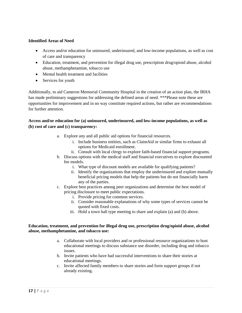## **Identified Areas of Need**

- Access and/or education for uninsured, underinsured, and low-income populations, as well as cost of care and transparency
- Education, treatment, and prevention for illegal drug use, prescription drug/opioid abuse, alcohol abuse, methamphetamine, tobacco use
- Mental health treatment and facilities
- Services for youth

Additionally, to aid Cameron Memorial Community Hospital in the creation of an action plan, the IRHA has made preliminary suggestions for addressing the defined areas of need. \*\*\*Please note these are opportunities for improvement and in no way constitute required actions, but rather are recommendations for further attention.

# **Access and/or education for (a) uninsured, underinsured, and low-income populations, as well as (b) cost of care and (c) transparency:**

- a. Explore any and all public aid options for financial resources.
	- i. Include business entities, such as ClaimAid or similar firms to exhaust all options for Medicaid enrollment.
	- ii. Consult with local clergy to explore faith-based financial support programs.
- b. Discuss options with the medical staff and financial executives to explore discounted fee models.
	- i. What type of discount models are available for qualifying patients?
	- ii. Identify the organizations that employ the underinsured and explore mutually beneficial pricing models that help the patients but do not financially harm any of the parties.
- c. Explore best practices among peer organizations and determine the best model of pricing disclosure to meet public expectations.
	- i. Provide pricing for common services.
	- ii. Consider reasonable explanations of why some types of services cannot be quoted with fixed costs.
	- iii. Hold a town hall type meeting to share and explain (a) and (b) above.

## **Education, treatment, and prevention for illegal drug use, prescription drug/opioid abuse, alcohol abuse, methamphetamine, and tobacco use:**

- a. Collaborate with local providers and or professional resource organizations to host educational meetings to discuss substance use disorder, including drug and tobacco issues.
- b. Invite patients who have had successful interventions to share their stories at educational meetings.
- c. Invite affected family members to share stories and form support groups if not already existing.